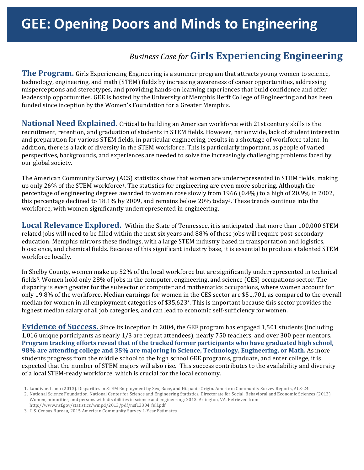# **Business Case for Girls Experiencing Engineering**

**The Program.** Girls Experiencing Engineering is a summer program that attracts young women to science, technology, engineering, and math (STEM) fields by increasing awareness of career opportunities, addressing misperceptions and stereotypes, and providing hands-on learning experiences that build confidence and offer leadership opportunities. GEE is hosted by the University of Memphis Herff College of Engineering and has been funded since inception by the Women's Foundation for a Greater Memphis.

**National Need Explained.** Critical to building an American workforce with 21st century skills is the recruitment, retention, and graduation of students in STEM fields. However, nationwide, lack of student interest in and preparation for various STEM fields, in particular engineering, results in a shortage of workforce talent. In addition, there is a lack of diversity in the STEM workforce. This is particularly important, as people of varied perspectives, backgrounds, and experiences are needed to solve the increasingly challenging problems faced by our global society.

The American Community Survey (ACS) statistics show that women are underrepresented in STEM fields, making up only 26% of the STEM workforce<sup>1</sup>. The statistics for engineering are even more sobering. Although the percentage of engineering degrees awarded to women rose slowly from 1966 (0.4%) to a high of 20.9% in 2002, this percentage declined to 18.1% by 2009, and remains below 20% today<sup>2</sup>. These trends continue into the workforce, with women significantly underrepresented in engineering.

Local Relevance Explored. Within the State of Tennessee, it is anticipated that more than 100,000 STEM related jobs will need to be filled within the next six years and 88% of these jobs will require post-secondary education. Memphis mirrors these findings, with a large STEM industry based in transportation and logistics, bioscience, and chemical fields. Because of this significant industry base, it is essential to produce a talented STEM workforce locally.

In Shelby County, women make up 52% of the local workforce but are significantly underrepresented in technical fields<sup>3</sup>. Women hold only 28% of jobs in the computer, engineering, and science (CES) occupations sector. The disparity is even greater for the subsector of computer and mathematics occupations, where women account for only 19.8% of the workforce. Median earnings for women in the CES sector are \$51,701, as compared to the overall median for women in all employment categories of \$35,623<sup>3</sup>. This is important because this sector provides the highest median salary of all job categories, and can lead to economic self-sufficiency for women.

**Evidence of Success.** Since its inception in 2004, the GEE program has engaged 1,501 students (including 1,016 unique participants as nearly  $1/3$  are repeat attendees), nearly 750 teachers, and over 300 peer mentors. **Program tracking efforts reveal that of the tracked former participants who have graduated high school, 98% are attending college and 35% are majoring in Science, Technology, Engineering, or Math.** As more students progress from the middle school to the high school GEE programs, graduate, and enter college, it is expected that the number of STEM majors will also rise. This success contributes to the availability and diversity of a local STEM-ready workforce, which is crucial for the local economy.

<sup>1.</sup> Landivar, Liana (2013). Disparities in STEM Employment by Sex, Race, and Hispanic Origin. American Community Survey Reports, ACS-24.

<sup>2.</sup> National Science Foundation, National Center for Science and Engineering Statistics, Directorate for Social, Behavioral and Economic Sciences (2013). Women, minorities, and persons with disabilities in science and engineering: 2013. Arlington, VA. Retrieved from http://www.nsf.gov/statistics/wmpd/2013/pdf/nsf13304\_full.pdf

<sup>3.</sup> U.S. Census Bureau, 2015 American Community Survey 1-Year Estimates